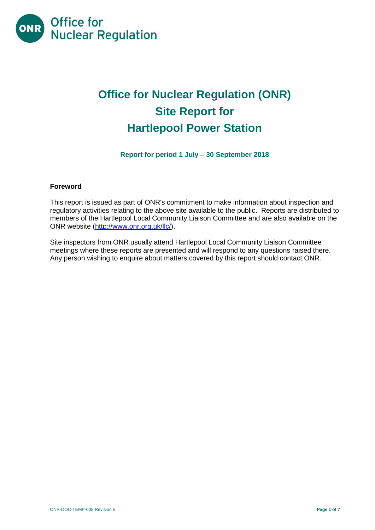

# **Office for Nuclear Regulation (ONR) Site Report for Hartlepool Power Station**

**Report for period 1 July – 30 September 2018**

# **Foreword**

This report is issued as part of ONR's commitment to make information about inspection and regulatory activities relating to the above site available to the public. Reports are distributed to members of the Hartlepool Local Community Liaison Committee and are also available on the ONR website [\(http://www.onr.org.uk/llc/\)](http://www.onr.org.uk/llc/).

Site inspectors from ONR usually attend Hartlepool Local Community Liaison Committee meetings where these reports are presented and will respond to any questions raised there. Any person wishing to enquire about matters covered by this report should contact ONR.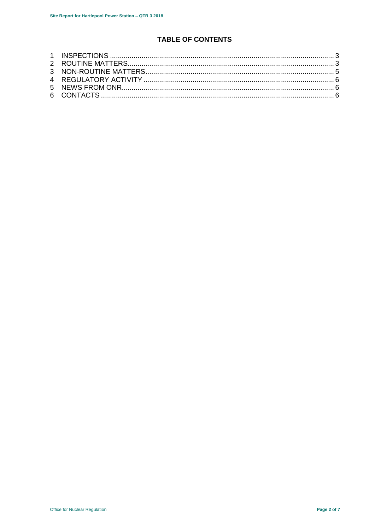# TABLE OF CONTENTS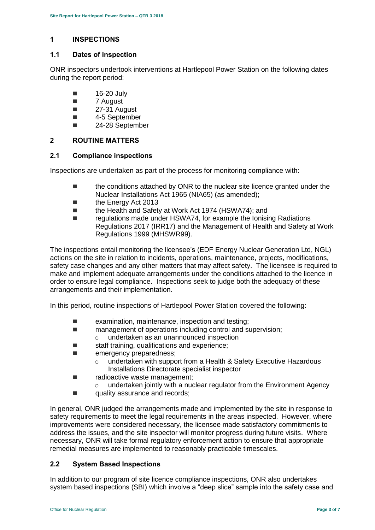# <span id="page-2-0"></span>**1 INSPECTIONS**

#### **1.1 Dates of inspection**

ONR inspectors undertook interventions at Hartlepool Power Station on the following dates during the report period:

- $\blacksquare$  16-20 July
- 7 August
- $\blacksquare$  27-31 August
- 4-5 September
- 24-28 September

#### <span id="page-2-1"></span>**2 ROUTINE MATTERS**

#### **2.1 Compliance inspections**

Inspections are undertaken as part of the process for monitoring compliance with:

- **the conditions attached by ONR to the nuclear site licence granted under the** Nuclear Installations Act 1965 (NIA65) (as amended);
- the Energy Act 2013
- the Health and Safety at Work Act 1974 (HSWA74); and
- regulations made under HSWA74, for example the Ionising Radiations Regulations 2017 (IRR17) and the Management of Health and Safety at Work Regulations 1999 (MHSWR99).

The inspections entail monitoring the licensee's (EDF Energy Nuclear Generation Ltd, NGL) actions on the site in relation to incidents, operations, maintenance, projects, modifications, safety case changes and any other matters that may affect safety. The licensee is required to make and implement adequate arrangements under the conditions attached to the licence in order to ensure legal compliance. Inspections seek to judge both the adequacy of these arrangements and their implementation.

In this period, routine inspections of Hartlepool Power Station covered the following:

- $\blacksquare$  examination, maintenance, inspection and testing:
- management of operations including control and supervision;
	- o undertaken as an unannounced inspection
- staff training, qualifications and experience;
- **E** emergency preparedness:
	- o undertaken with support from a Health & Safety Executive Hazardous Installations Directorate specialist inspector
- radioactive waste management;
	- $\circ$  undertaken jointly with a nuclear regulator from the Environment Agency
- quality assurance and records;

In general, ONR judged the arrangements made and implemented by the site in response to safety requirements to meet the legal requirements in the areas inspected. However, where improvements were considered necessary, the licensee made satisfactory commitments to address the issues, and the site inspector will monitor progress during future visits. Where necessary, ONR will take formal regulatory enforcement action to ensure that appropriate remedial measures are implemented to reasonably practicable timescales.

# **2.2 System Based Inspections**

In addition to our program of site licence compliance inspections, ONR also undertakes system based inspections (SBI) which involve a "deep slice" sample into the safety case and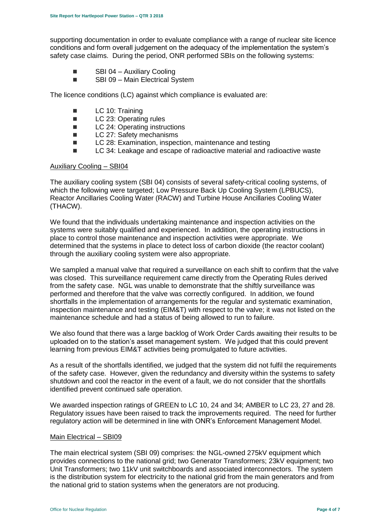supporting documentation in order to evaluate compliance with a range of nuclear site licence conditions and form overall judgement on the adequacy of the implementation the system's safety case claims. During the period, ONR performed SBIs on the following systems:

- SBI 04 Auxiliary Cooling
- SBI 09 Main Electrical System

The licence conditions (LC) against which compliance is evaluated are:

- **LC** 10: Training
- LC 23: Operating rules
- LC 24: Operating instructions
- LC 27: Safety mechanisms
- LC 28: Examination, inspection, maintenance and testing
- LC 34: Leakage and escape of radioactive material and radioactive waste

#### Auxiliary Cooling – SBI04

The auxiliary cooling system (SBI 04) consists of several safety-critical cooling systems, of which the following were targeted; Low Pressure Back Up Cooling System (LPBUCS), Reactor Ancillaries Cooling Water (RACW) and Turbine House Ancillaries Cooling Water (THACW).

We found that the individuals undertaking maintenance and inspection activities on the systems were suitably qualified and experienced. In addition, the operating instructions in place to control those maintenance and inspection activities were appropriate. We determined that the systems in place to detect loss of carbon dioxide (the reactor coolant) through the auxiliary cooling system were also appropriate.

We sampled a manual valve that required a surveillance on each shift to confirm that the valve was closed. This surveillance requirement came directly from the Operating Rules derived from the safety case. NGL was unable to demonstrate that the shiftly surveillance was performed and therefore that the valve was correctly configured. In addition, we found shortfalls in the implementation of arrangements for the regular and systematic examination, inspection maintenance and testing (EIM&T) with respect to the valve; it was not listed on the maintenance schedule and had a status of being allowed to run to failure.

We also found that there was a large backlog of Work Order Cards awaiting their results to be uploaded on to the station's asset management system. We judged that this could prevent learning from previous EIM&T activities being promulgated to future activities.

As a result of the shortfalls identified, we judged that the system did not fulfil the requirements of the safety case. However, given the redundancy and diversity within the systems to safety shutdown and cool the reactor in the event of a fault, we do not consider that the shortfalls identified prevent continued safe operation.

We awarded inspection ratings of GREEN to LC 10, 24 and 34; AMBER to LC 23, 27 and 28. Regulatory issues have been raised to track the improvements required. The need for further regulatory action will be determined in line with ONR's Enforcement Management Model.

#### Main Electrical – SBI09

The main electrical system (SBI 09) comprises: the NGL-owned 275kV equipment which provides connections to the national grid; two Generator Transformers; 23kV equipment; two Unit Transformers; two 11kV unit switchboards and associated interconnectors. The system is the distribution system for electricity to the national grid from the main generators and from the national grid to station systems when the generators are not producing.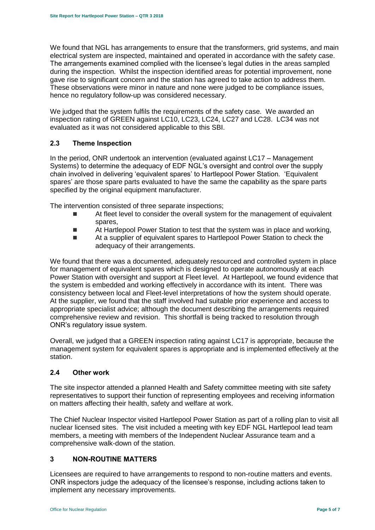We found that NGL has arrangements to ensure that the transformers, grid systems, and main electrical system are inspected, maintained and operated in accordance with the safety case. The arrangements examined complied with the licensee's legal duties in the areas sampled during the inspection. Whilst the inspection identified areas for potential improvement, none gave rise to significant concern and the station has agreed to take action to address them. These observations were minor in nature and none were judged to be compliance issues, hence no regulatory follow-up was considered necessary.

We judged that the system fulfils the requirements of the safety case. We awarded an inspection rating of GREEN against LC10, LC23, LC24, LC27 and LC28. LC34 was not evaluated as it was not considered applicable to this SBI.

# **2.3 Theme Inspection**

In the period, ONR undertook an intervention (evaluated against LC17 – Management Systems) to determine the adequacy of EDF NGL's oversight and control over the supply chain involved in delivering 'equivalent spares' to Hartlepool Power Station. 'Equivalent spares' are those spare parts evaluated to have the same the capability as the spare parts specified by the original equipment manufacturer.

The intervention consisted of three separate inspections;

- At fleet level to consider the overall system for the management of equivalent spares,
- **At Hartlepool Power Station to test that the system was in place and working,**
- At a supplier of equivalent spares to Hartlepool Power Station to check the adequacy of their arrangements.

We found that there was a documented, adequately resourced and controlled system in place for management of equivalent spares which is designed to operate autonomously at each Power Station with oversight and support at Fleet level. At Hartlepool, we found evidence that the system is embedded and working effectively in accordance with its intent. There was consistency between local and Fleet-level interpretations of how the system should operate. At the supplier, we found that the staff involved had suitable prior experience and access to appropriate specialist advice; although the document describing the arrangements required comprehensive review and revision. This shortfall is being tracked to resolution through ONR's regulatory issue system.

Overall, we judged that a GREEN inspection rating against LC17 is appropriate, because the management system for equivalent spares is appropriate and is implemented effectively at the station.

# **2.4 Other work**

The site inspector attended a planned Health and Safety committee meeting with site safety representatives to support their function of representing employees and receiving information on matters affecting their health, safety and welfare at work.

The Chief Nuclear Inspector visited Hartlepool Power Station as part of a rolling plan to visit all nuclear licensed sites. The visit included a meeting with key EDF NGL Hartlepool lead team members, a meeting with members of the Independent Nuclear Assurance team and a comprehensive walk-down of the station.

# <span id="page-4-0"></span>**3 NON-ROUTINE MATTERS**

Licensees are required to have arrangements to respond to non-routine matters and events. ONR inspectors judge the adequacy of the licensee's response, including actions taken to implement any necessary improvements.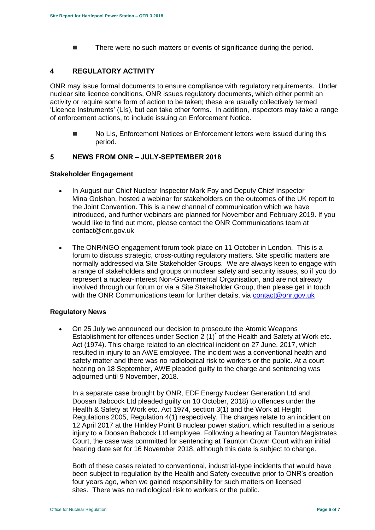There were no such matters or events of significance during the period.

# <span id="page-5-0"></span>**4 REGULATORY ACTIVITY**

ONR may issue formal documents to ensure compliance with regulatory requirements. Under nuclear site licence conditions, ONR issues regulatory documents, which either permit an activity or require some form of action to be taken; these are usually collectively termed 'Licence Instruments' (LIs), but can take other forms. In addition, inspectors may take a range of enforcement actions, to include issuing an Enforcement Notice.

■ No LIs, Enforcement Notices or Enforcement letters were issued during this period.

#### <span id="page-5-1"></span>**5 NEWS FROM ONR – JULY-SEPTEMBER 2018**

#### <span id="page-5-2"></span>**Stakeholder Engagement**

- In August our Chief Nuclear Inspector Mark Foy and Deputy Chief Inspector Mina Golshan, hosted a webinar for stakeholders on the outcomes of the UK report to the Joint Convention. This is a new channel of communication which we have introduced, and further webinars are planned for November and February 2019. If you would like to find out more, please contact the ONR Communications team at contact@onr.gov.uk
- The ONR/NGO engagement forum took place on 11 October in London. This is a forum to discuss strategic, cross-cutting regulatory matters. Site specific matters are normally addressed via Site Stakeholder Groups. We are always keen to engage with a range of stakeholders and groups on nuclear safety and security issues, so if you do represent a nuclear-interest Non-Governmental Organisation, and are not already involved through our forum or via a Site Stakeholder Group, then please get in touch with the ONR Communications team for further details, via [contact@onr.gov.uk](mailto:contact@onr.gov.uk)

#### **Regulatory News**

 On 25 July we announced our decision to prosecute the Atomic Weapons Establishment for offences under Section  $2(1)^{*}$  of the Health and Safety at Work etc. Act (1974). This charge related to an electrical incident on 27 June, 2017, which resulted in injury to an AWE employee. The incident was a conventional health and safety matter and there was no radiological risk to workers or the public. At a court hearing on 18 September, AWE pleaded guilty to the charge and sentencing was adjourned until 9 November, 2018.

In a separate case brought by ONR, EDF Energy Nuclear Generation Ltd and Doosan Babcock Ltd pleaded guilty on 10 October, 2018) to offences under the Health & Safety at Work etc. Act 1974, section 3(1) and the Work at Height Regulations 2005, Regulation 4(1) respectively. The charges relate to an incident on 12 April 2017 at the Hinkley Point B nuclear power station, which resulted in a serious injury to a Doosan Babcock Ltd employee. Following a hearing at Taunton Magistrates Court, the case was committed for sentencing at Taunton Crown Court with an initial hearing date set for 16 November 2018, although this date is subject to change.

Both of these cases related to conventional, industrial-type incidents that would have been subject to regulation by the Health and Safety executive prior to ONR's creation four years ago, when we gained responsibility for such matters on licensed sites. There was no radiological risk to workers or the public.